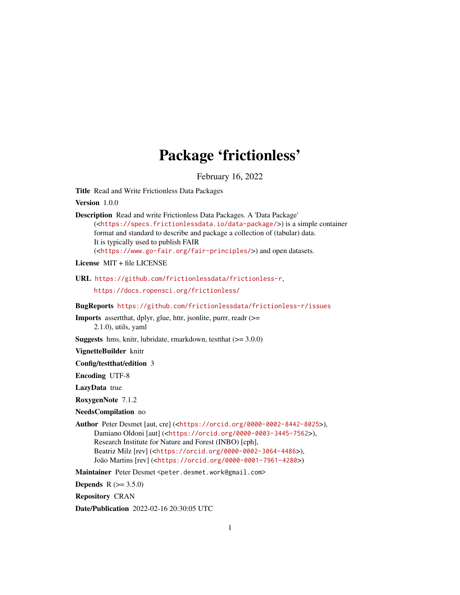# Package 'frictionless'

February 16, 2022

<span id="page-0-0"></span>Title Read and Write Frictionless Data Packages

Version 1.0.0

Description Read and write Frictionless Data Packages. A 'Data Package' (<<https://specs.frictionlessdata.io/data-package/>>) is a simple container format and standard to describe and package a collection of (tabular) data. It is typically used to publish FAIR (<<https://www.go-fair.org/fair-principles/>>) and open datasets.

License MIT + file LICENSE

URL <https://github.com/frictionlessdata/frictionless-r>,

<https://docs.ropensci.org/frictionless/>

BugReports <https://github.com/frictionlessdata/frictionless-r/issues>

Imports assertthat, dplyr, glue, httr, jsonlite, purrr, readr (>= 2.1.0), utils, yaml

**Suggests** hms, knitr, lubridate, rmarkdown, test that  $(>= 3.0.0)$ 

VignetteBuilder knitr

Config/testthat/edition 3

Encoding UTF-8

LazyData true

RoxygenNote 7.1.2

#### NeedsCompilation no

Author Peter Desmet [aut, cre] (<<https://orcid.org/0000-0002-8442-8025>>), Damiano Oldoni [aut] (<<https://orcid.org/0000-0003-3445-7562>>), Research Institute for Nature and Forest (INBO) [cph], Beatriz Milz [rev] (<<https://orcid.org/0000-0002-3064-4486>>), João Martins [rev] (<<https://orcid.org/0000-0001-7961-4280>>)

Maintainer Peter Desmet <peter.desmet.work@gmail.com>

**Depends**  $R (= 3.5.0)$ 

Repository CRAN

Date/Publication 2022-02-16 20:30:05 UTC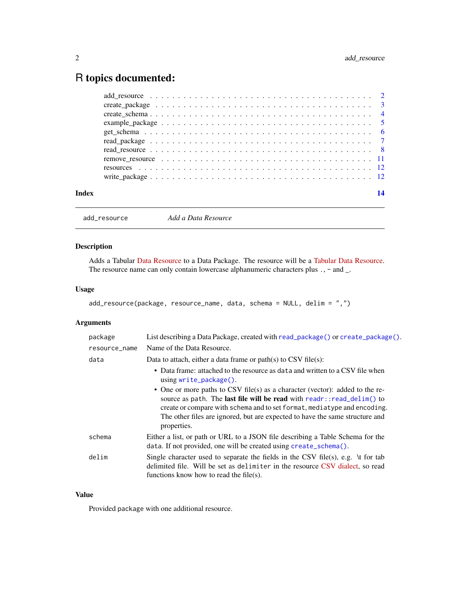## <span id="page-1-0"></span>R topics documented:

| Index |                                                                                                       |  |
|-------|-------------------------------------------------------------------------------------------------------|--|
|       |                                                                                                       |  |
|       |                                                                                                       |  |
|       | remove resource $\ldots \ldots \ldots \ldots \ldots \ldots \ldots \ldots \ldots \ldots \ldots \ldots$ |  |
|       |                                                                                                       |  |
|       |                                                                                                       |  |
|       |                                                                                                       |  |
|       |                                                                                                       |  |
|       |                                                                                                       |  |
|       |                                                                                                       |  |
|       |                                                                                                       |  |

```
add_resource Add a Data Resource
```
#### Description

Adds a Tabular [Data Resource](https://specs.frictionlessdata.io/data-resource/) to a Data Package. The resource will be a [Tabular Data Resource.](https://specs.frictionlessdata.io/tabular-data-resource/) The resource name can only contain lowercase alphanumeric characters plus ., - and \_.

#### Usage

```
add_resource(package, resource_name, data, schema = NULL, delim = ",")
```
### Arguments

| package       | List describing a Data Package, created with read_package() or create_package().                                                                                                                                                                                                                                                               |
|---------------|------------------------------------------------------------------------------------------------------------------------------------------------------------------------------------------------------------------------------------------------------------------------------------------------------------------------------------------------|
| resource_name | Name of the Data Resource.                                                                                                                                                                                                                                                                                                                     |
| data          | Data to attach, either a data frame or $path(s)$ to CSV file(s):                                                                                                                                                                                                                                                                               |
|               | • Data frame: attached to the resource as data and written to a CSV file when<br>$using write_package()$ .                                                                                                                                                                                                                                     |
|               | • One or more paths to CSV file(s) as a character (vector): added to the re-<br>source as path. The <b>last file will be read</b> with $readr$ : $read\_delim()$ to<br>create or compare with schema and to set format, mediatype and encoding.<br>The other files are ignored, but are expected to have the same structure and<br>properties. |
| schema        | Either a list, or path or URL to a JSON file describing a Table Schema for the<br>data. If not provided, one will be created using create_schema().                                                                                                                                                                                            |
| delim         | Single character used to separate the fields in the CSV file(s), e.g. $\setminus$ t for tab<br>delimited file. Will be set as delimiter in the resource CSV dialect, so read<br>functions know how to read the file(s).                                                                                                                        |

#### Value

Provided package with one additional resource.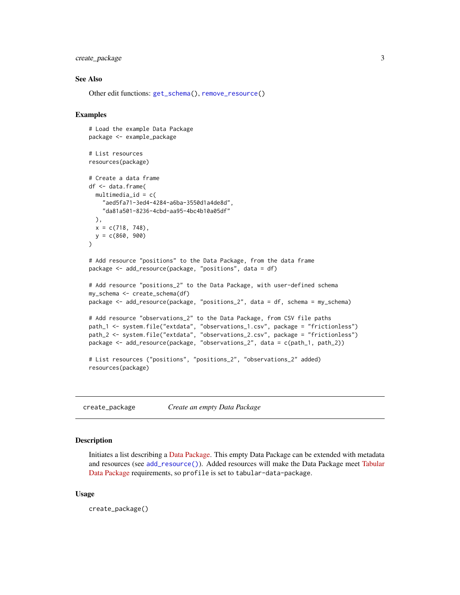#### <span id="page-2-0"></span>create\_package 3

#### See Also

Other edit functions: [get\\_schema\(](#page-5-1)), [remove\\_resource\(](#page-10-1))

#### Examples

```
# Load the example Data Package
package <- example_package
# List resources
resources(package)
# Create a data frame
df <- data.frame(
 multimedia_id = c("aed5fa71-3ed4-4284-a6ba-3550d1a4de8d",
    "da81a501-8236-4cbd-aa95-4bc4b10a05df"
 ),
 x = c(718, 748),
 y = c(860, 900)\mathcal{L}# Add resource "positions" to the Data Package, from the data frame
package <- add_resource(package, "positions", data = df)
# Add resource "positions_2" to the Data Package, with user-defined schema
my_schema <- create_schema(df)
package <- add_resource(package, "positions_2", data = df, schema = my_schema)
# Add resource "observations_2" to the Data Package, from CSV file paths
path_1 <- system.file("extdata", "observations_1.csv", package = "frictionless")
path_2 <- system.file("extdata", "observations_2.csv", package = "frictionless")
package <- add_resource(package, "observations_2", data = c(path_1, path_2))
# List resources ("positions", "positions_2", "observations_2" added)
resources(package)
```
<span id="page-2-1"></span>create\_package *Create an empty Data Package*

#### **Description**

Initiates a list describing a [Data Package.](https://specs.frictionlessdata.io/data-package/) This empty Data Package can be extended with metadata and resources (see [add\\_resource\(\)](#page-1-1)). Added resources will make the Data Package meet [Tabular](https://specs.frictionlessdata.io/tabular-data-package/) [Data Package](https://specs.frictionlessdata.io/tabular-data-package/) requirements, so profile is set to tabular-data-package.

#### Usage

create\_package()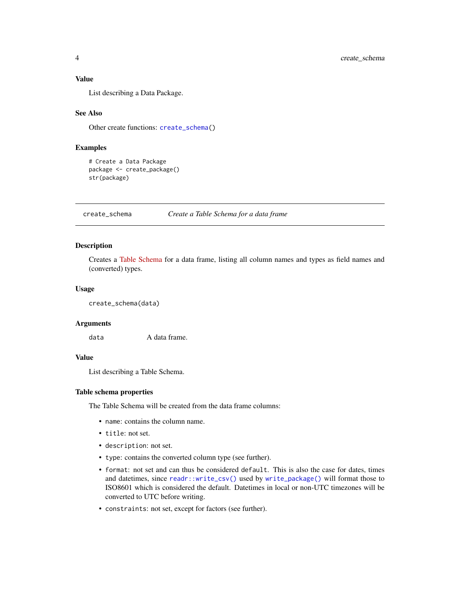#### <span id="page-3-0"></span>Value

List describing a Data Package.

#### See Also

Other create functions: [create\\_schema\(](#page-3-1))

#### Examples

```
# Create a Data Package
package <- create_package()
str(package)
```
<span id="page-3-1"></span>create\_schema *Create a Table Schema for a data frame*

#### Description

Creates a [Table Schema](https://specs.frictionlessdata.io/table-schema/) for a data frame, listing all column names and types as field names and (converted) types.

#### Usage

```
create_schema(data)
```
#### Arguments

data A data frame.

#### Value

List describing a Table Schema.

#### Table schema properties

The Table Schema will be created from the data frame columns:

- name: contains the column name.
- title: not set.
- description: not set.
- type: contains the converted column type (see further).
- format: not set and can thus be considered default. This is also the case for dates, times and datetimes, since [readr::write\\_csv\(\)](#page-0-0) used by [write\\_package\(\)](#page-11-1) will format those to ISO8601 which is considered the default. Datetimes in local or non-UTC timezones will be converted to UTC before writing.
- constraints: not set, except for factors (see further).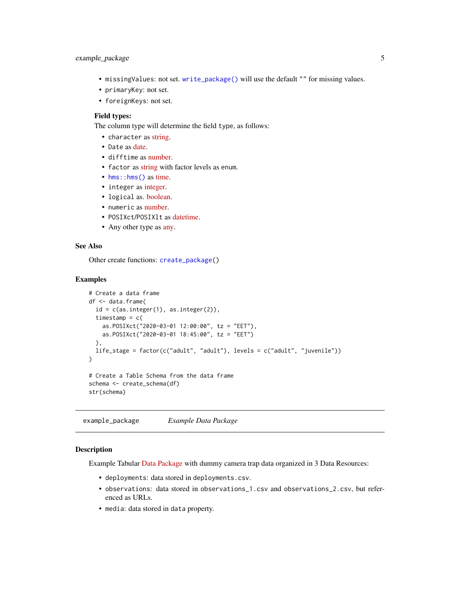- <span id="page-4-0"></span>• missingValues: not set. [write\\_package\(\)](#page-11-1) will use the default "" for missing values.
- primaryKey: not set.
- foreignKeys: not set.

#### Field types:

The column type will determine the field type, as follows:

- character as [string.](https://specs.frictionlessdata.io/table-schema/#string)
- Date as [date.](https://specs.frictionlessdata.io/table-schema/#date)
- difftime as [number.](https://specs.frictionlessdata.io/table-schema/#number)
- factor as [string](https://specs.frictionlessdata.io/table-schema/#string) with factor levels as enum.
- [hms::hms\(\)](#page-0-0) as [time.](https://specs.frictionlessdata.io/table-schema/#time)
- integer as [integer.](https://specs.frictionlessdata.io/table-schema/#integer)
- logical as. [boolean.](https://specs.frictionlessdata.io/table-schema/#boolean)
- numeric as [number.](https://specs.frictionlessdata.io/table-schema/#number)
- POSIXct/POSIXlt as [datetime.](https://specs.frictionlessdata.io/table-schema/#datetime)
- Any other type as [any.](https://specs.frictionlessdata.io/table-schema/#any)

#### See Also

Other create functions: [create\\_package\(](#page-2-1))

#### Examples

```
# Create a data frame
df <- data.frame(
 id = c(as.integer(1), as.integer(2)),timestamp = c(as.POSIXct("2020-03-01 12:00:00", tz = "EET"),
   as.POSIXct("2020-03-01 18:45:00", tz = "EET")
 ),
 life_stage = factor(c("adult", "adult"), levels = c("adult", "juvenile"))
\mathcal{L}# Create a Table Schema from the data frame
schema <- create_schema(df)
str(schema)
```
example\_package *Example Data Package*

#### Description

Example Tabular [Data Package](https://specs.frictionlessdata.io/data-package/) with dummy camera trap data organized in 3 Data Resources:

- deployments: data stored in deployments.csv.
- observations: data stored in observations\_1.csv and observations\_2.csv, but referenced as URLs.
- media: data stored in data property.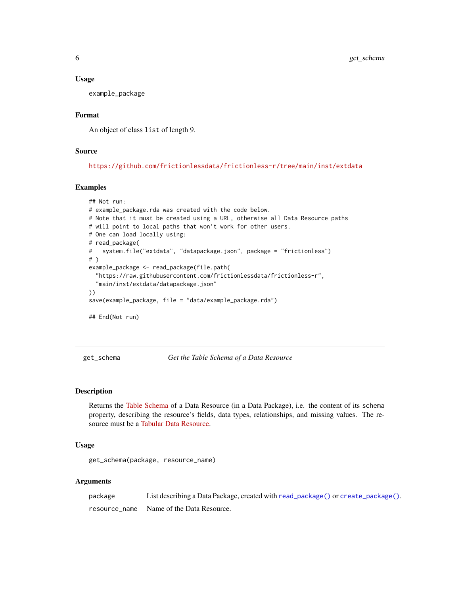#### <span id="page-5-0"></span>Usage

example\_package

#### Format

An object of class list of length 9.

#### Source

<https://github.com/frictionlessdata/frictionless-r/tree/main/inst/extdata>

#### Examples

```
## Not run:
# example_package.rda was created with the code below.
# Note that it must be created using a URL, otherwise all Data Resource paths
# will point to local paths that won't work for other users.
# One can load locally using:
# read_package(
# system.file("extdata", "datapackage.json", package = "frictionless")
# )
example_package <- read_package(file.path(
  "https://raw.githubusercontent.com/frictionlessdata/frictionless-r",
 "main/inst/extdata/datapackage.json"
))
save(example_package, file = "data/example_package.rda")
## End(Not run)
```
<span id="page-5-1"></span>get\_schema *Get the Table Schema of a Data Resource*

#### Description

Returns the [Table Schema](https://specs.frictionlessdata.io/table-schema/) of a Data Resource (in a Data Package), i.e. the content of its schema property, describing the resource's fields, data types, relationships, and missing values. The resource must be a [Tabular Data Resource.](https://specs.frictionlessdata.io/tabular-data-resource/)

#### Usage

get\_schema(package, resource\_name)

#### **Arguments**

| package | List describing a Data Package, created with read_package() or create_package(). |
|---------|----------------------------------------------------------------------------------|
|         | resource_name Name of the Data Resource.                                         |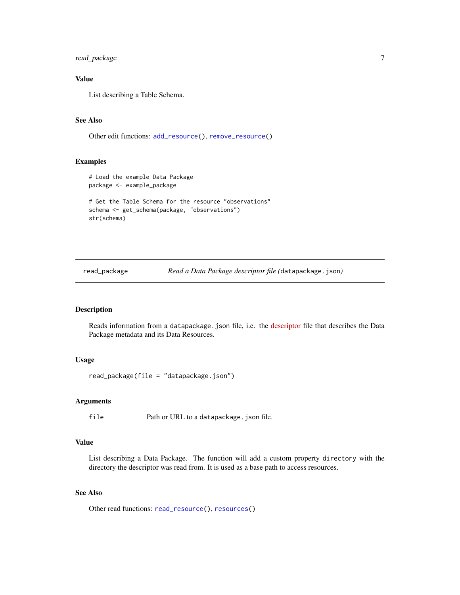<span id="page-6-0"></span>read\_package 7

#### Value

List describing a Table Schema.

#### See Also

Other edit functions: [add\\_resource\(](#page-1-1)), [remove\\_resource\(](#page-10-1))

#### Examples

```
# Load the example Data Package
package <- example_package
# Get the Table Schema for the resource "observations"
schema <- get_schema(package, "observations")
str(schema)
```
<span id="page-6-1"></span>read\_package *Read a Data Package descriptor file (*datapackage.json*)*

#### Description

Reads information from a datapackage.json file, i.e. the [descriptor](https://specs.frictionlessdata.io/data-package/#descriptor) file that describes the Data Package metadata and its Data Resources.

#### Usage

read\_package(file = "datapackage.json")

#### Arguments

file Path or URL to a datapackage.json file.

#### Value

List describing a Data Package. The function will add a custom property directory with the directory the descriptor was read from. It is used as a base path to access resources.

#### See Also

Other read functions: [read\\_resource\(](#page-7-1)), [resources\(](#page-11-2))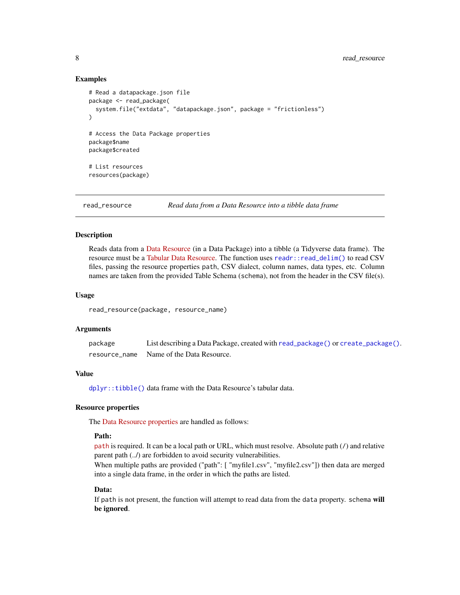#### Examples

```
# Read a datapackage.json file
package <- read_package(
 system.file("extdata", "datapackage.json", package = "frictionless")
\lambda# Access the Data Package properties
package$name
package$created
# List resources
resources(package)
```
<span id="page-7-1"></span>read\_resource *Read data from a Data Resource into a tibble data frame*

#### **Description**

Reads data from a [Data Resource](https://specs.frictionlessdata.io/data-resource/) (in a Data Package) into a tibble (a Tidyverse data frame). The resource must be a [Tabular Data Resource.](https://specs.frictionlessdata.io/tabular-data-resource/) The function uses [readr::read\\_delim\(\)](#page-0-0) to read CSV files, passing the resource properties path, CSV dialect, column names, data types, etc. Column names are taken from the provided Table Schema (schema), not from the header in the CSV file(s).

#### Usage

read\_resource(package, resource\_name)

#### Arguments

| package       | List describing a Data Package, created with read_package() or create_package(). |
|---------------|----------------------------------------------------------------------------------|
| resource name | Name of the Data Resource.                                                       |

#### Value

[dplyr::tibble\(\)](#page-0-0) data frame with the Data Resource's tabular data.

#### Resource properties

The [Data Resource properties](https://specs.frictionlessdata.io/data-resource/) are handled as follows:

#### Path:

[path](https://specs.frictionlessdata.io/data-resource/#data-location) is required. It can be a local path or URL, which must resolve. Absolute path (/) and relative parent path  $(.)$  are forbidden to avoid security vulnerabilities.

When multiple paths are provided ("path": [ "myfile1.csv", "myfile2.csv"]) then data are merged into a single data frame, in the order in which the paths are listed.

#### Data:

If path is not present, the function will attempt to read data from the data property. schema will be ignored.

<span id="page-7-0"></span>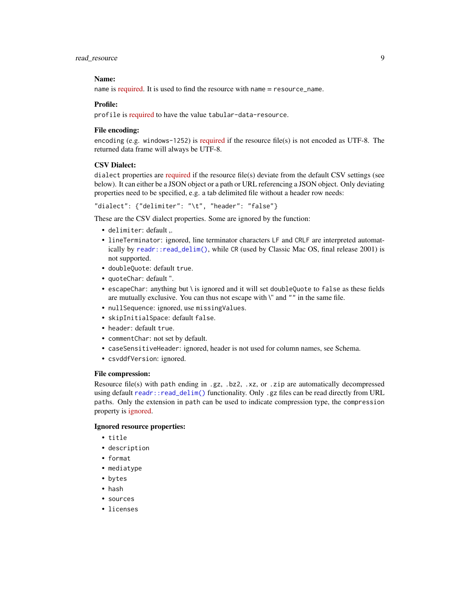#### <span id="page-8-0"></span>read resource 9

#### Name:

name is [required.](https://specs.frictionlessdata.io/data-resource/#name) It is used to find the resource with name = resource\_name.

#### Profile:

profile is [required](https://specs.frictionlessdata.io/tabular-data-resource/#specification) to have the value tabular-data-resource.

#### File encoding:

encoding (e.g. windows-1252) is [required](https://specs.frictionlessdata.io/data-resource/#optional-properties) if the resource file(s) is not encoded as UTF-8. The returned data frame will always be UTF-8.

#### CSV Dialect:

dialect properties are [required](https://specs.frictionlessdata.io/csv-dialect/#specification) if the resource file(s) deviate from the default CSV settings (see below). It can either be a JSON object or a path or URL referencing a JSON object. Only deviating properties need to be specified, e.g. a tab delimited file without a header row needs:

"dialect": {"delimiter": "\t", "header": "false"}

These are the CSV dialect properties. Some are ignored by the function:

- delimiter: default ,.
- lineTerminator: ignored, line terminator characters LF and CRLF are interpreted automatically by [readr::read\\_delim\(\)](#page-0-0), while CR (used by Classic Mac OS, final release 2001) is not supported.
- doubleQuote: default true.
- quoteChar: default ".
- escapeChar: anything but \ is ignored and it will set doubleQuote to false as these fields are mutually exclusive. You can thus not escape with \" and "" in the same file.
- nullSequence: ignored, use missingValues.
- skipInitialSpace: default false.
- header: default true.
- commentChar: not set by default.
- caseSensitiveHeader: ignored, header is not used for column names, see Schema.
- csvddfVersion: ignored.

#### File compression:

Resource file(s) with path ending in .gz, .bz2, .xz, or .zip are automatically decompressed using default [readr::read\\_delim\(\)](#page-0-0) functionality. Only .gz files can be read directly from URL paths. Only the extension in path can be used to indicate compression type, the compression property is [ignored.](https://specs.frictionlessdata.io/patterns/#specification-3)

#### Ignored resource properties:

- title
- description
- format
- mediatype
- bytes
- hash
- sources
- licenses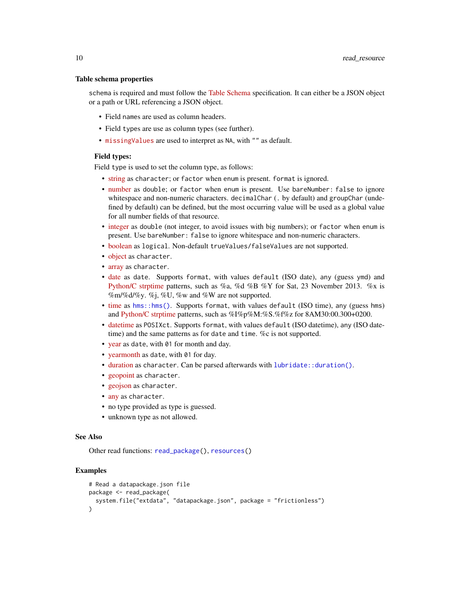#### <span id="page-9-0"></span>Table schema properties

schema is required and must follow the [Table Schema](https://specs.frictionlessdata.io/table-schema/) specification. It can either be a JSON object or a path or URL referencing a JSON object.

- Field names are used as column headers.
- Field types are use as column types (see further).
- [missingValues](https://specs.frictionlessdata.io/table-schema/#missing-values) are used to interpret as NA, with "" as default.

#### Field types:

Field type is used to set the column type, as follows:

- [string](https://specs.frictionlessdata.io/table-schema/#string) as character; or factor when enum is present. format is ignored.
- [number](https://specs.frictionlessdata.io/table-schema/#number) as double; or factor when enum is present. Use bareNumber: false to ignore whitespace and non-numeric characters. decimalChar (. by default) and groupChar (undefined by default) can be defined, but the most occurring value will be used as a global value for all number fields of that resource.
- [integer](https://specs.frictionlessdata.io/table-schema/#integer) as double (not integer, to avoid issues with big numbers); or factor when enum is present. Use bareNumber: false to ignore whitespace and non-numeric characters.
- [boolean](https://specs.frictionlessdata.io/table-schema/#boolean) as logical. Non-default trueValues/falseValues are not supported.
- [object](https://specs.frictionlessdata.io/table-schema/#object) as character.
- [array](https://specs.frictionlessdata.io/table-schema/#array) as character.
- [date](https://specs.frictionlessdata.io/table-schema/#date) as date. Supports format, with values default (ISO date), any (guess ymd) and [Python/C strptime](https://docs.python.org/2/library/datetime.html#strftime-strptime-behavior) patterns, such as %a, %d %B %Y for Sat, 23 November 2013. %x is  $\%m\%d\%y$ . %j, %U, %w and %W are not supported.
- [time](https://specs.frictionlessdata.io/table-schema/#time) as [hms::hms\(\)](#page-0-0). Supports format, with values default (ISO time), any (guess hms) and [Python/C strptime](https://docs.python.org/2/library/datetime.html#strftime-strptime-behavior) patterns, such as %I%p%M:%S.%f%z for 8AM30:00.300+0200.
- [datetime](https://specs.frictionlessdata.io/table-schema/#datetime) as POSIXct. Supports format, with values default (ISO datetime), any (ISO datetime) and the same patterns as for date and time. %c is not supported.
- [year](https://specs.frictionlessdata.io/table-schema/#year) as date, with 01 for month and day.
- [yearmonth](https://specs.frictionlessdata.io/table-schema/#yearmonth) as date, with 01 for day.
- [duration](https://specs.frictionlessdata.io/table-schema/#duration) as character. Can be parsed afterwards with [lubridate::duration\(\)](#page-0-0).
- [geopoint](https://specs.frictionlessdata.io/table-schema/#geopoint) as character.
- [geojson](https://specs.frictionlessdata.io/table-schema/#geojson) as character.
- [any](https://specs.frictionlessdata.io/table-schema/#any) as character.
- no type provided as type is guessed.
- unknown type as not allowed.

#### See Also

Other read functions: [read\\_package\(](#page-6-1)), [resources\(](#page-11-2))

#### Examples

```
# Read a datapackage.json file
package <- read_package(
 system.file("extdata", "datapackage.json", package = "frictionless")
)
```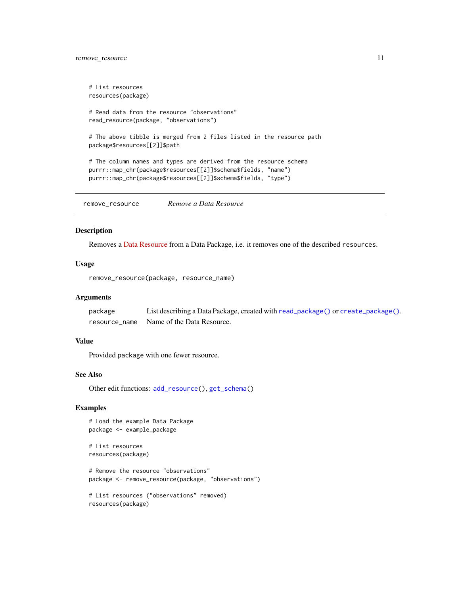#### <span id="page-10-0"></span>remove\_resource 11

```
# List resources
resources(package)
```

```
# Read data from the resource "observations"
read_resource(package, "observations")
```

```
# The above tibble is merged from 2 files listed in the resource path
package$resources[[2]]$path
```

```
# The column names and types are derived from the resource schema
purrr::map_chr(package$resources[[2]]$schema$fields, "name")
purrr::map_chr(package$resources[[2]]$schema$fields, "type")
```
<span id="page-10-1"></span>remove\_resource *Remove a Data Resource*

#### Description

Removes a [Data Resource](https://specs.frictionlessdata.io/data-resource/) from a Data Package, i.e. it removes one of the described resources.

#### Usage

```
remove_resource(package, resource_name)
```
#### Arguments

package List describing a Data Package, created with [read\\_package\(\)](#page-6-1) or [create\\_package\(\)](#page-2-1). resource\_name Name of the Data Resource.

#### Value

Provided package with one fewer resource.

#### See Also

Other edit functions: [add\\_resource\(](#page-1-1)), [get\\_schema\(](#page-5-1))

#### Examples

```
# Load the example Data Package
package <- example_package
```

```
# List resources
resources(package)
```

```
# Remove the resource "observations"
package <- remove_resource(package, "observations")
```

```
# List resources ("observations" removed)
resources(package)
```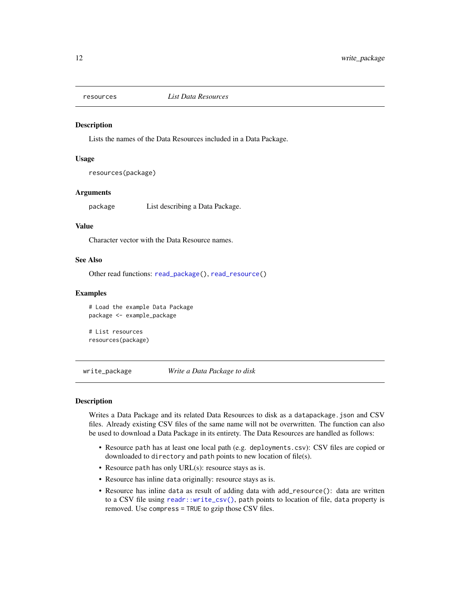<span id="page-11-2"></span><span id="page-11-0"></span>

#### **Description**

Lists the names of the Data Resources included in a Data Package.

#### Usage

resources(package)

#### Arguments

package List describing a Data Package.

#### Value

Character vector with the Data Resource names.

#### See Also

Other read functions: [read\\_package\(](#page-6-1)), [read\\_resource\(](#page-7-1))

#### Examples

```
# Load the example Data Package
package <- example_package
```

```
# List resources
resources(package)
```
<span id="page-11-1"></span>write\_package *Write a Data Package to disk*

#### **Description**

Writes a Data Package and its related Data Resources to disk as a datapackage.json and CSV files. Already existing CSV files of the same name will not be overwritten. The function can also be used to download a Data Package in its entirety. The Data Resources are handled as follows:

- Resource path has at least one local path (e.g. deployments.csv): CSV files are copied or downloaded to directory and path points to new location of file(s).
- Resource path has only URL(s): resource stays as is.
- Resource has inline data originally: resource stays as is.
- Resource has inline data as result of adding data with add\_resource(): data are written to a CSV file using [readr::write\\_csv\(\)](#page-0-0), path points to location of file, data property is removed. Use compress = TRUE to gzip those CSV files.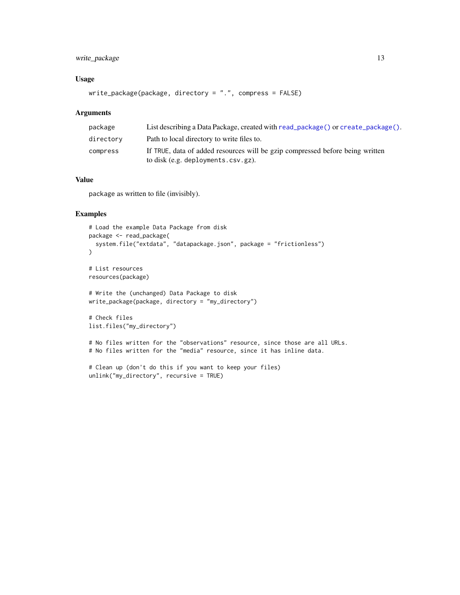#### <span id="page-12-0"></span>write\_package 13

#### Usage

```
write_package(package, directory = ".", compress = FALSE)
```
#### Arguments

| package   | List describing a Data Package, created with read $\Box$ package() or create $\Box$ package(). |
|-----------|------------------------------------------------------------------------------------------------|
| directory | Path to local directory to write files to.                                                     |
| compress  | If TRUE, data of added resources will be gzip compressed before being written                  |
|           | to disk (e.g. deployments.csv.gz).                                                             |

### Value

package as written to file (invisibly).

#### Examples

```
# Load the example Data Package from disk
package <- read_package(
  system.file("extdata", "datapackage.json", package = "frictionless")
\mathcal{L}# List resources
resources(package)
# Write the (unchanged) Data Package to disk
write_package(package, directory = "my_directory")
# Check files
list.files("my_directory")
# No files written for the "observations" resource, since those are all URLs.
# No files written for the "media" resource, since it has inline data.
```

```
# Clean up (don't do this if you want to keep your files)
unlink("my_directory", recursive = TRUE)
```